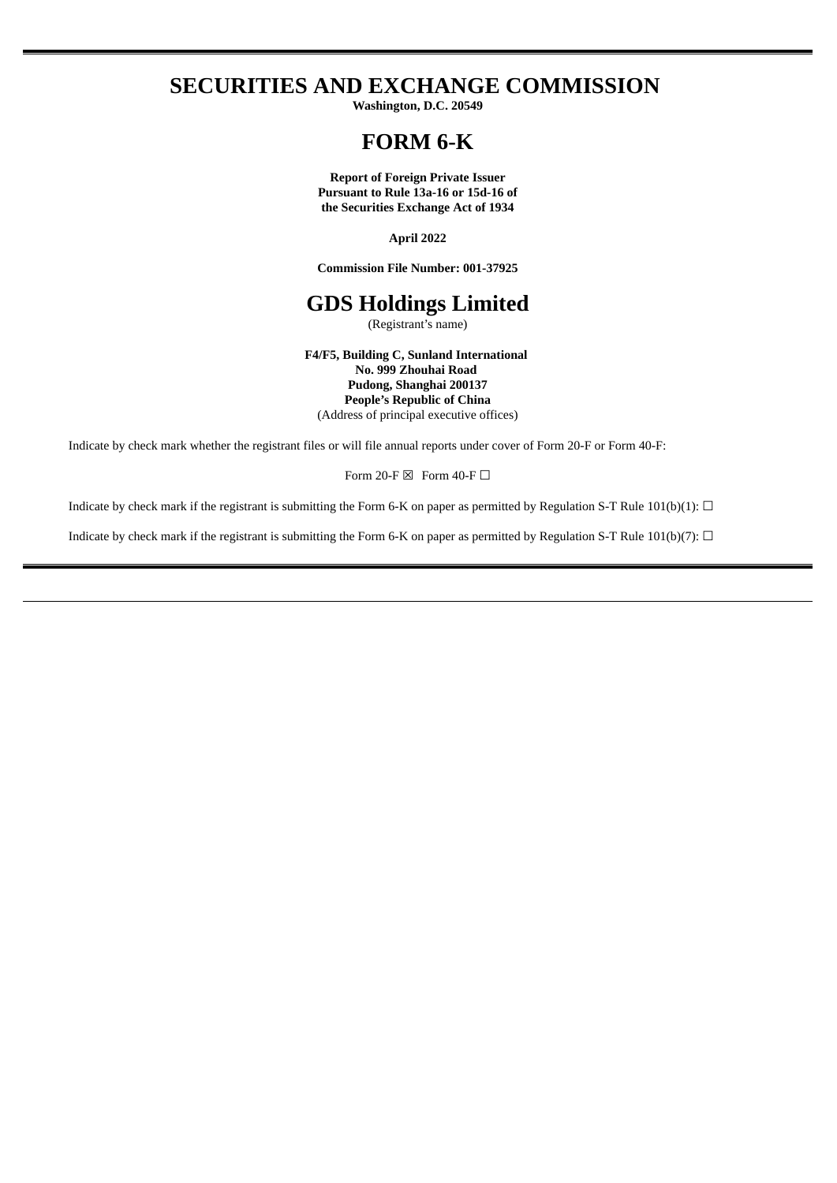# **SECURITIES AND EXCHANGE COMMISSION**

**Washington, D.C. 20549**

## **FORM 6-K**

**Report of Foreign Private Issuer Pursuant to Rule 13a-16 or 15d-16 of the Securities Exchange Act of 1934**

**April 2022**

**Commission File Number: 001-37925**

## **GDS Holdings Limited**

(Registrant's name)

**F4/F5, Building C, Sunland International No. 999 Zhouhai Road Pudong, Shanghai 200137 People's Republic of China** (Address of principal executive offices)

Indicate by check mark whether the registrant files or will file annual reports under cover of Form 20-F or Form 40-F:

Form 20-F  $\boxtimes$  Form 40-F  $\Box$ 

Indicate by check mark if the registrant is submitting the Form 6-K on paper as permitted by Regulation S-T Rule 101(b)(1):  $\Box$ 

Indicate by check mark if the registrant is submitting the Form 6-K on paper as permitted by Regulation S-T Rule 101(b)(7):  $\Box$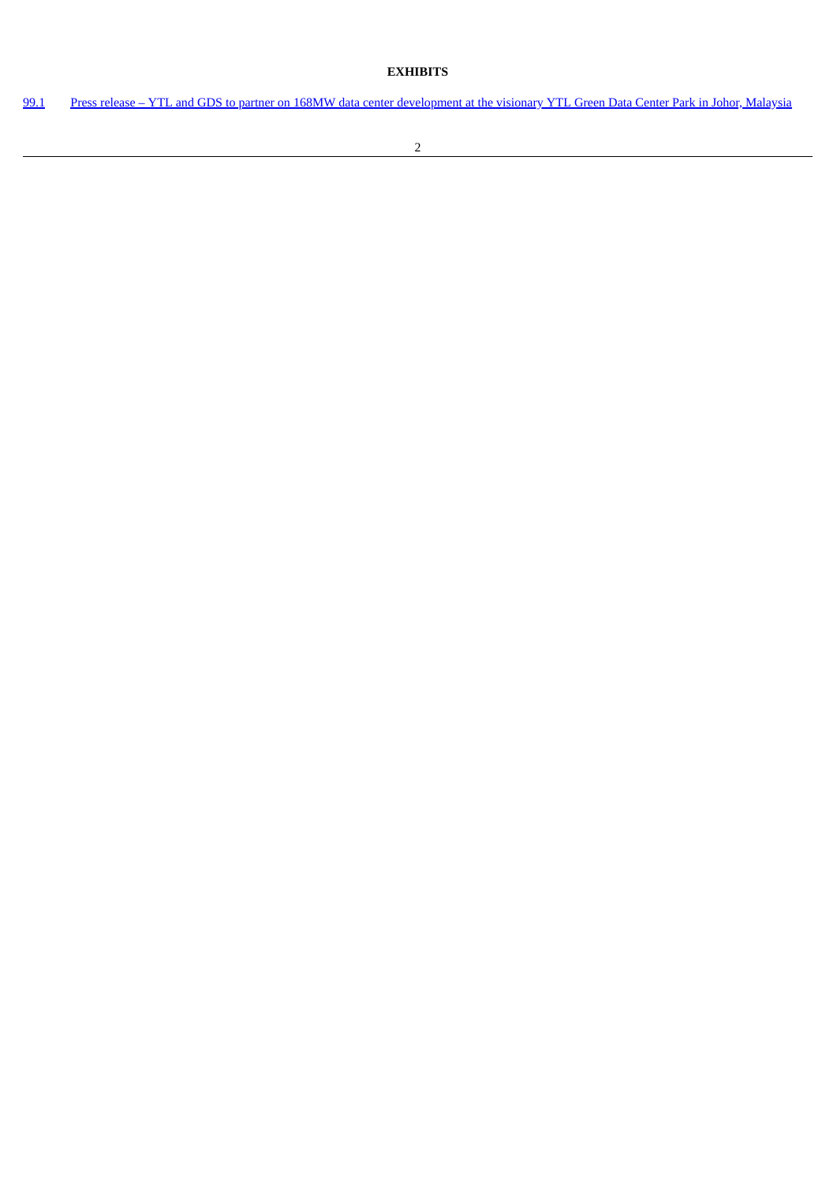## **EXHIBITS**

[99.1](#page-3-0) Press release – YTL and GDS to partner on 168MW data center [development](#page-3-0) at the visionary YTL Green Data Center Park in Johor, Malaysia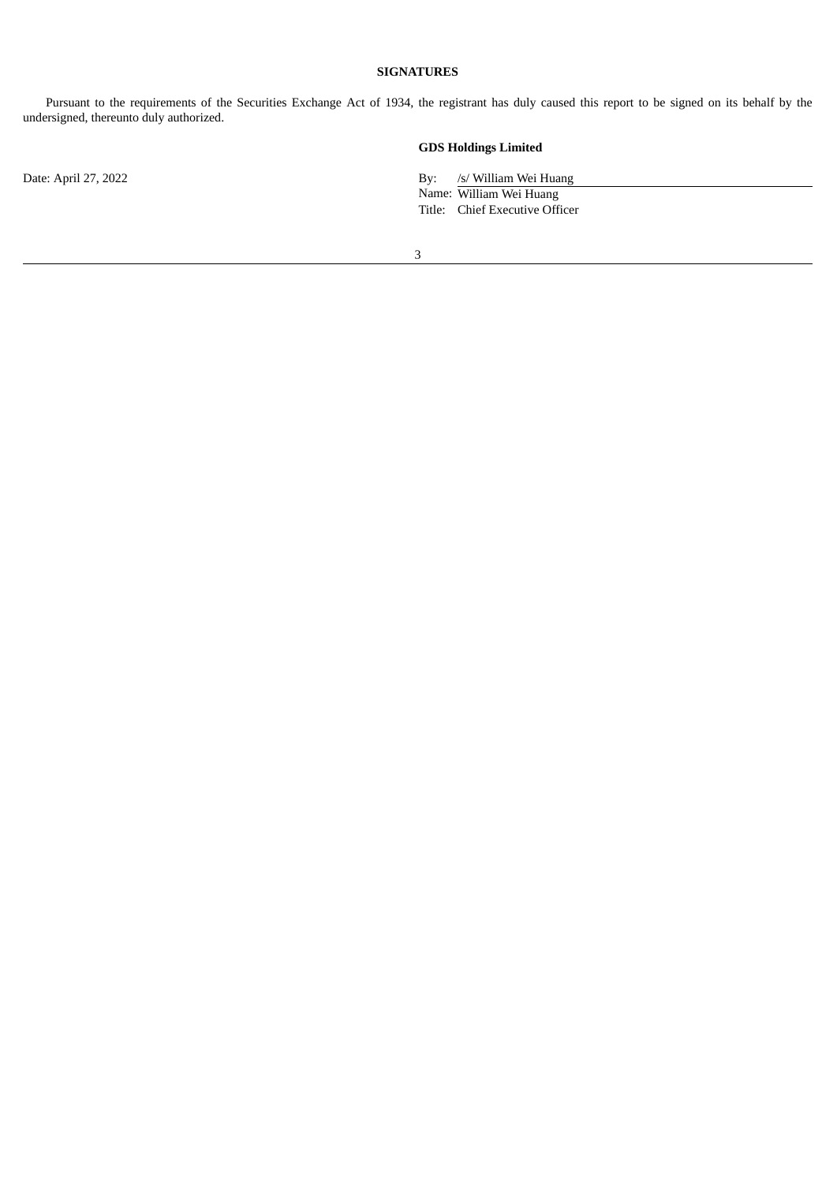## **SIGNATURES**

Pursuant to the requirements of the Securities Exchange Act of 1934, the registrant has duly caused this report to be signed on its behalf by the undersigned, thereunto duly authorized.

## **GDS Holdings Limited**

Date: April 27, 2022 By: /s/ William Wei Huang

Name: William Wei Huang Title: Chief Executive Officer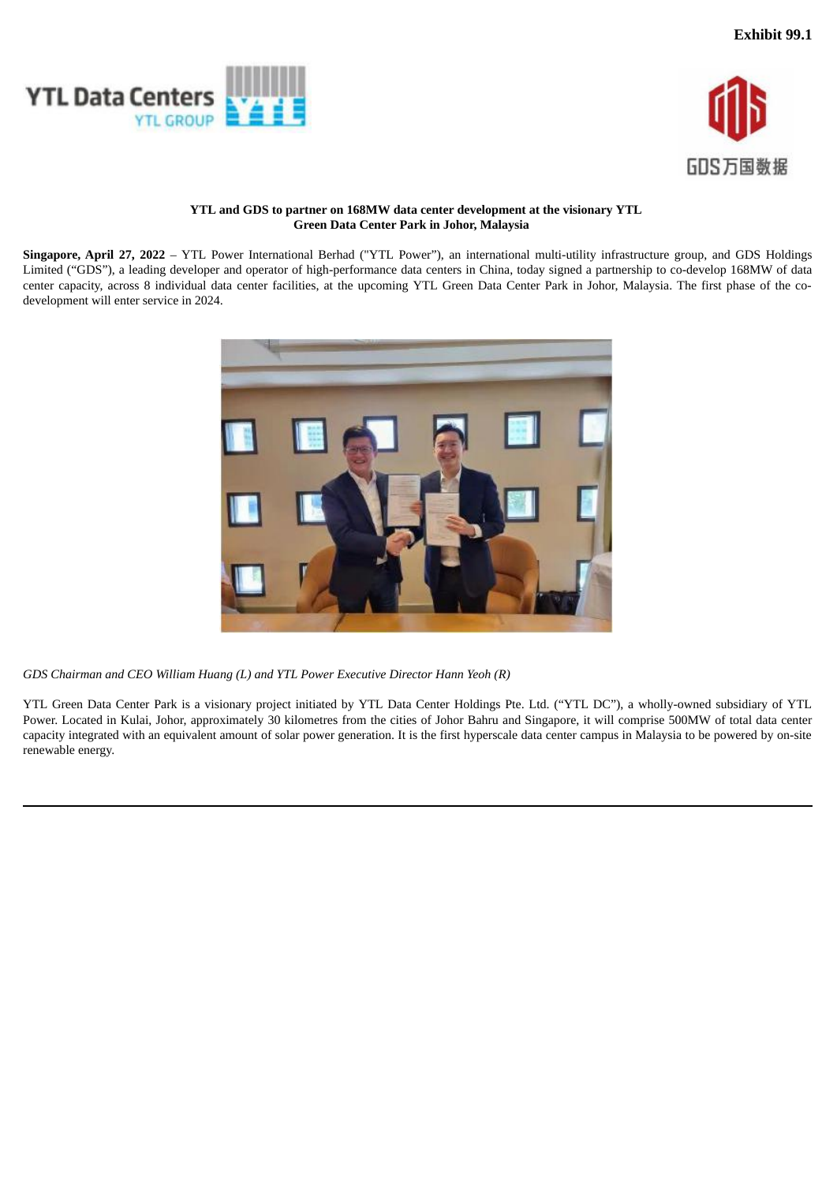<span id="page-3-0"></span>



## **YTL and GDS to partner on 168MW data center development at the visionary YTL Green Data Center Park in Johor, Malaysia**

**Singapore, April 27, 2022** – YTL Power International Berhad ("YTL Power"), an international multi-utility infrastructure group, and GDS Holdings Limited ("GDS"), a leading developer and operator of high-performance data centers in China, today signed a partnership to co-develop 168MW of data center capacity, across 8 individual data center facilities, at the upcoming YTL Green Data Center Park in Johor, Malaysia. The first phase of the codevelopment will enter service in 2024.



*GDS Chairman and CEO William Huang (L) and YTL Power Executive Director Hann Yeoh (R)*

YTL Green Data Center Park is a visionary project initiated by YTL Data Center Holdings Pte. Ltd. ("YTL DC"), a wholly-owned subsidiary of YTL Power. Located in Kulai, Johor, approximately 30 kilometres from the cities of Johor Bahru and Singapore, it will comprise 500MW of total data center capacity integrated with an equivalent amount of solar power generation. It is the first hyperscale data center campus in Malaysia to be powered by on-site renewable energy.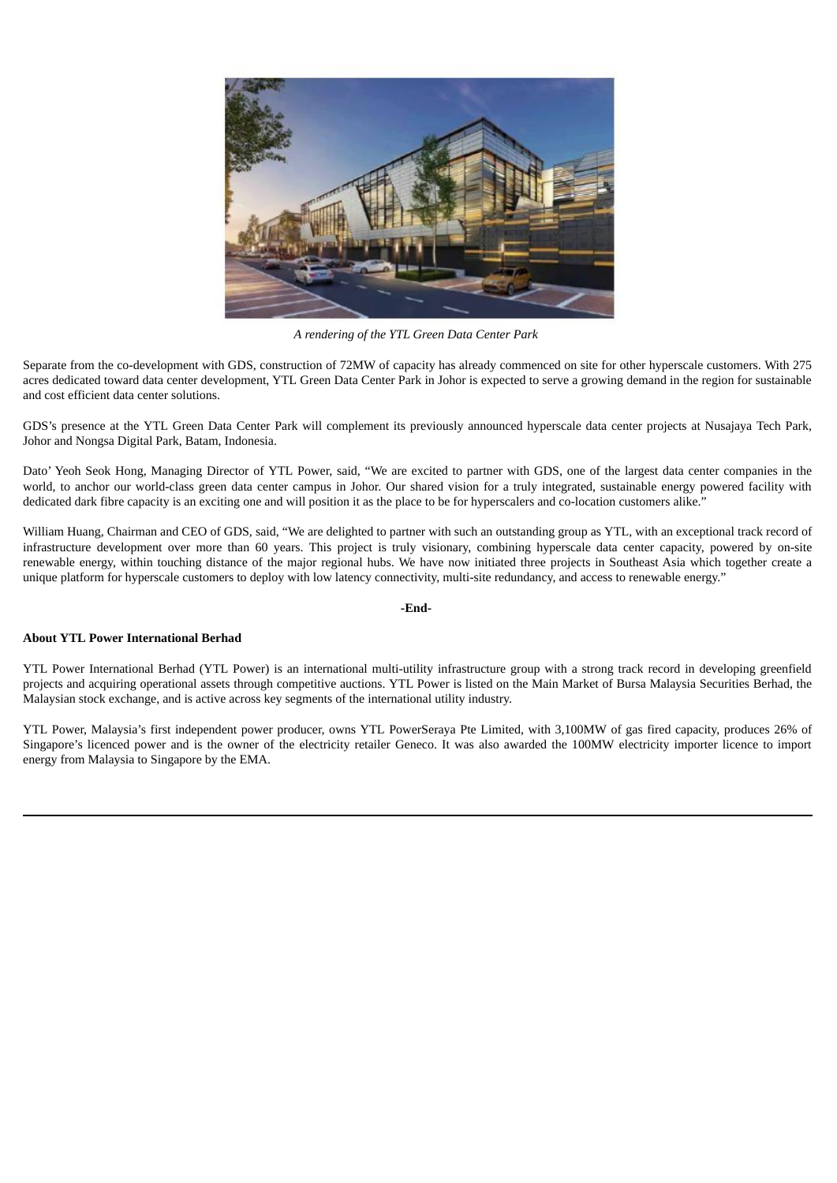

*A rendering of the YTL Green Data Center Park*

Separate from the co-development with GDS, construction of 72MW of capacity has already commenced on site for other hyperscale customers. With 275 acres dedicated toward data center development, YTL Green Data Center Park in Johor is expected to serve a growing demand in the region for sustainable and cost efficient data center solutions.

GDS's presence at the YTL Green Data Center Park will complement its previously announced hyperscale data center projects at Nusajaya Tech Park, Johor and Nongsa Digital Park, Batam, Indonesia.

Dato' Yeoh Seok Hong, Managing Director of YTL Power, said, "We are excited to partner with GDS, one of the largest data center companies in the world, to anchor our world-class green data center campus in Johor. Our shared vision for a truly integrated, sustainable energy powered facility with dedicated dark fibre capacity is an exciting one and will position it as the place to be for hyperscalers and co-location customers alike."

William Huang, Chairman and CEO of GDS, said, "We are delighted to partner with such an outstanding group as YTL, with an exceptional track record of infrastructure development over more than 60 years. This project is truly visionary, combining hyperscale data center capacity, powered by on-site renewable energy, within touching distance of the major regional hubs. We have now initiated three projects in Southeast Asia which together create a unique platform for hyperscale customers to deploy with low latency connectivity, multi-site redundancy, and access to renewable energy."

#### **-End-**

#### **About YTL Power International Berhad**

YTL Power International Berhad (YTL Power) is an international multi-utility infrastructure group with a strong track record in developing greenfield projects and acquiring operational assets through competitive auctions. YTL Power is listed on the Main Market of Bursa Malaysia Securities Berhad, the Malaysian stock exchange, and is active across key segments of the international utility industry.

YTL Power, Malaysia's first independent power producer, owns YTL PowerSeraya Pte Limited, with 3,100MW of gas fired capacity, produces 26% of Singapore's licenced power and is the owner of the electricity retailer Geneco. It was also awarded the 100MW electricity importer licence to import energy from Malaysia to Singapore by the EMA.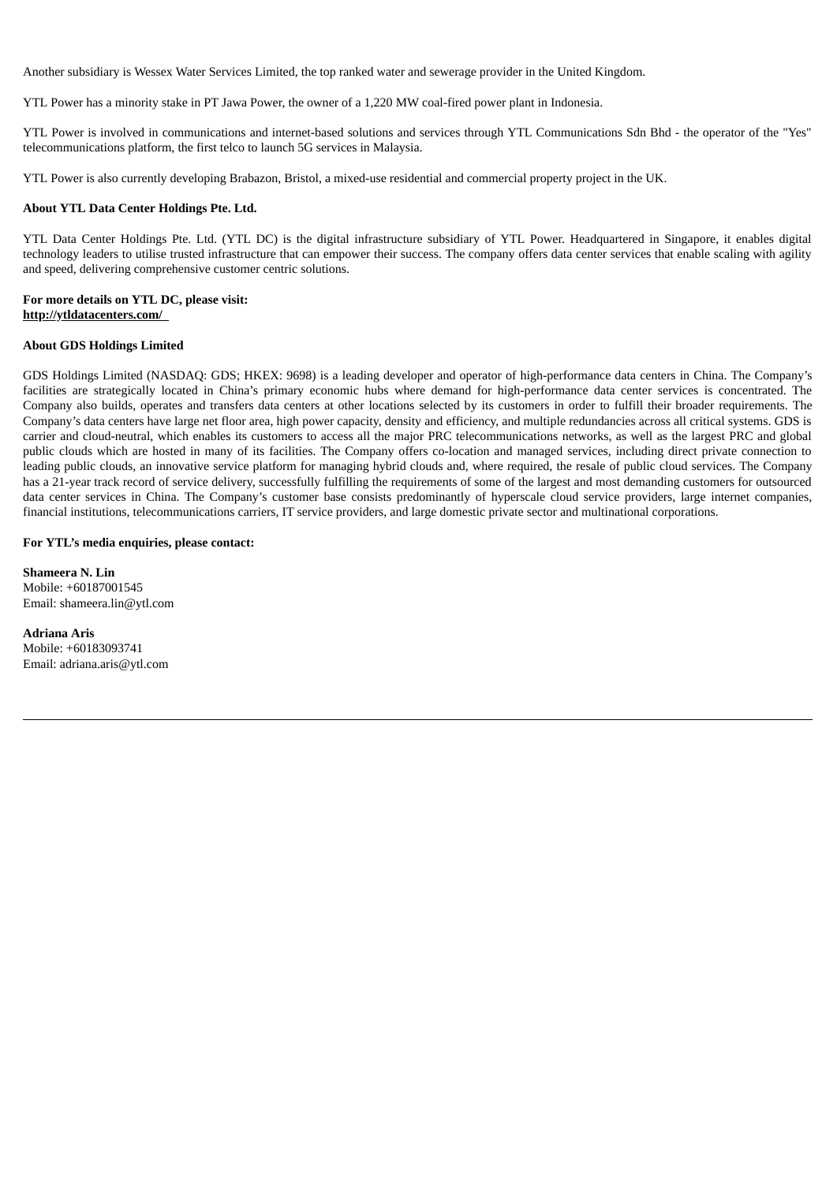Another subsidiary is Wessex Water Services Limited, the top ranked water and sewerage provider in the United Kingdom.

YTL Power has a minority stake in PT Jawa Power, the owner of a 1,220 MW coal-fired power plant in Indonesia.

YTL Power is involved in communications and internet-based solutions and services through YTL Communications Sdn Bhd - the operator of the "Yes" telecommunications platform, the first telco to launch 5G services in Malaysia.

YTL Power is also currently developing Brabazon, Bristol, a mixed-use residential and commercial property project in the UK.

#### **About YTL Data Center Holdings Pte. Ltd.**

YTL Data Center Holdings Pte. Ltd. (YTL DC) is the digital infrastructure subsidiary of YTL Power. Headquartered in Singapore, it enables digital technology leaders to utilise trusted infrastructure that can empower their success. The company offers data center services that enable scaling with agility and speed, delivering comprehensive customer centric solutions.

#### **For more details on YTL DC, please visit: http://ytldatacenters.com/**

#### **About GDS Holdings Limited**

GDS Holdings Limited (NASDAQ: GDS; HKEX: 9698) is a leading developer and operator of high-performance data centers in China. The Company's facilities are strategically located in China's primary economic hubs where demand for high-performance data center services is concentrated. The Company also builds, operates and transfers data centers at other locations selected by its customers in order to fulfill their broader requirements. The Company's data centers have large net floor area, high power capacity, density and efficiency, and multiple redundancies across all critical systems. GDS is carrier and cloud-neutral, which enables its customers to access all the major PRC telecommunications networks, as well as the largest PRC and global public clouds which are hosted in many of its facilities. The Company offers co-location and managed services, including direct private connection to leading public clouds, an innovative service platform for managing hybrid clouds and, where required, the resale of public cloud services. The Company has a 21-year track record of service delivery, successfully fulfilling the requirements of some of the largest and most demanding customers for outsourced data center services in China. The Company's customer base consists predominantly of hyperscale cloud service providers, large internet companies, financial institutions, telecommunications carriers, IT service providers, and large domestic private sector and multinational corporations.

#### **For YTL's media enquiries, please contact:**

**Shameera N. Lin** Mobile: +60187001545 Email: shameera.lin@ytl.com

**Adriana Aris** Mobile: +60183093741 Email: adriana.aris@ytl.com